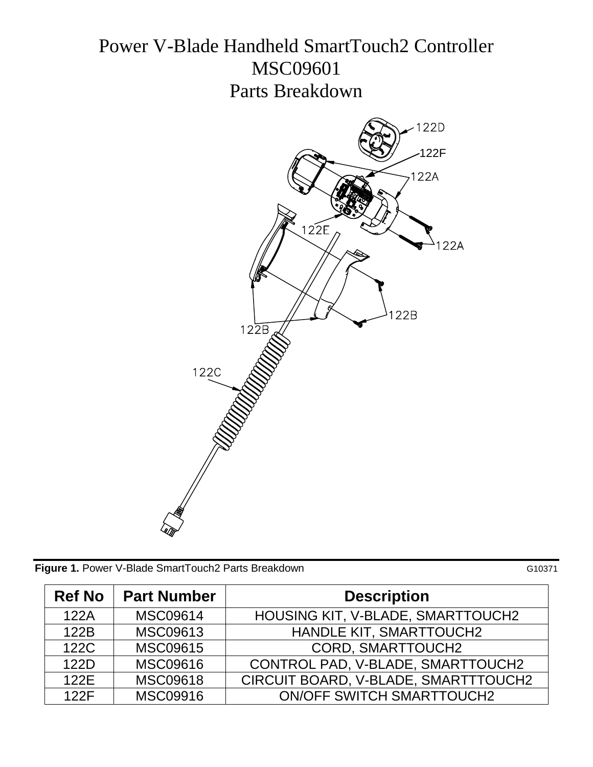# Power V-Blade Handheld SmartTouch2 Controller MSC09601 Parts Breakdown



|  | Figure 1. Power V-Blade SmartTouch2 Parts Breakdown | G10371 |
|--|-----------------------------------------------------|--------|
|  |                                                     |        |

| <b>Ref No</b> | <b>Part Number</b> | <b>Description</b>                |
|---------------|--------------------|-----------------------------------|
| 122A          | <b>MSC09614</b>    | HOUSING KIT, V-BLADE, SMARTTOUCH2 |
| 122B          | MSC09613           | <b>HANDLE KIT, SMARTTOUCH2</b>    |
| 122C          | <b>MSC09615</b>    | <b>CORD, SMARTTOUCH2</b>          |
| 122D          | <b>MSC09616</b>    | CONTROL PAD, V-BLADE, SMARTTOUCH2 |

122E | MSC09618 | CIRCUIT BOARD, V-BLADE, SMARTTTOUCH2

122F | MSC09916 | ON/OFF SWITCH SMARTTOUCH2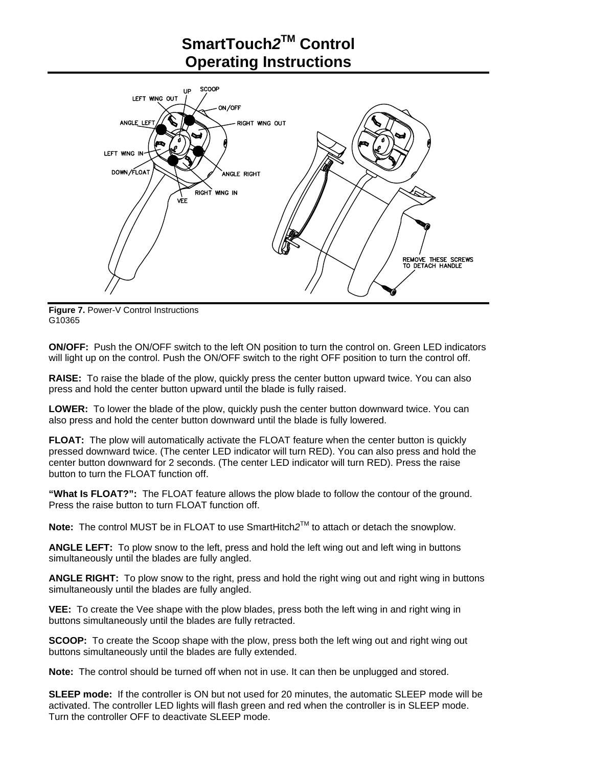## **SmartTouch***2***TM Control Operating Instructions**



**Figure 7.** Power-V Control Instructions G10365

**ON/OFF:** Push the ON/OFF switch to the left ON position to turn the control on. Green LED indicators will light up on the control. Push the ON/OFF switch to the right OFF position to turn the control off.

**RAISE:** To raise the blade of the plow, quickly press the center button upward twice. You can also press and hold the center button upward until the blade is fully raised.

**LOWER:** To lower the blade of the plow, quickly push the center button downward twice. You can also press and hold the center button downward until the blade is fully lowered.

**FLOAT:** The plow will automatically activate the FLOAT feature when the center button is quickly pressed downward twice. (The center LED indicator will turn RED). You can also press and hold the center button downward for 2 seconds. (The center LED indicator will turn RED). Press the raise button to turn the FLOAT function off.

**"What Is FLOAT?":** The FLOAT feature allows the plow blade to follow the contour of the ground. Press the raise button to turn FLOAT function off.

**Note:** The control MUST be in FLOAT to use SmartHitch*2*TM to attach or detach the snowplow.

**ANGLE LEFT:** To plow snow to the left, press and hold the left wing out and left wing in buttons simultaneously until the blades are fully angled.

**ANGLE RIGHT:** To plow snow to the right, press and hold the right wing out and right wing in buttons simultaneously until the blades are fully angled.

**VEE:** To create the Vee shape with the plow blades, press both the left wing in and right wing in buttons simultaneously until the blades are fully retracted.

**SCOOP:** To create the Scoop shape with the plow, press both the left wing out and right wing out buttons simultaneously until the blades are fully extended.

**Note:** The control should be turned off when not in use. It can then be unplugged and stored.

**SLEEP mode:** If the controller is ON but not used for 20 minutes, the automatic SLEEP mode will be activated. The controller LED lights will flash green and red when the controller is in SLEEP mode. Turn the controller OFF to deactivate SLEEP mode.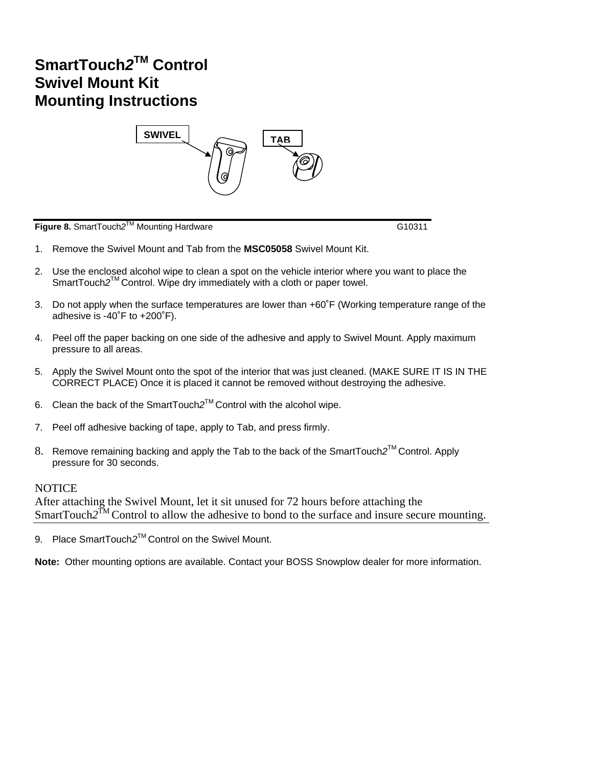### **SmartTouch***2***TM Control Swivel Mount Kit Mounting Instructions**



**Figure 8.** SmartTouch*2*TM Mounting Hardware G10311

- 1. Remove the Swivel Mount and Tab from the **MSC05058** Swivel Mount Kit.
- 2. Use the enclosed alcohol wipe to clean a spot on the vehicle interior where you want to place the SmartTouch2<sup>™</sup>Control. Wipe dry immediately with a cloth or paper towel.
- 3. Do not apply when the surface temperatures are lower than +60˚F (Working temperature range of the adhesive is -40˚F to +200˚F).
- 4. Peel off the paper backing on one side of the adhesive and apply to Swivel Mount. Apply maximum pressure to all areas.
- 5. Apply the Swivel Mount onto the spot of the interior that was just cleaned. (MAKE SURE IT IS IN THE CORRECT PLACE) Once it is placed it cannot be removed without destroying the adhesive.
- 6. Clean the back of the SmartTouch*2*TM Control with the alcohol wipe.
- 7. Peel off adhesive backing of tape, apply to Tab, and press firmly.
- 8. Remove remaining backing and apply the Tab to the back of the SmartTouch*2*TM Control. Apply pressure for 30 seconds.

#### **NOTICE**

After attaching the Swivel Mount, let it sit unused for 72 hours before attaching the SmartTouch2<sup>TM</sup> Control to allow the adhesive to bond to the surface and insure secure mounting.

9. Place SmartTouch2<sup>™</sup> Control on the Swivel Mount.

**Note:** Other mounting options are available. Contact your BOSS Snowplow dealer for more information.